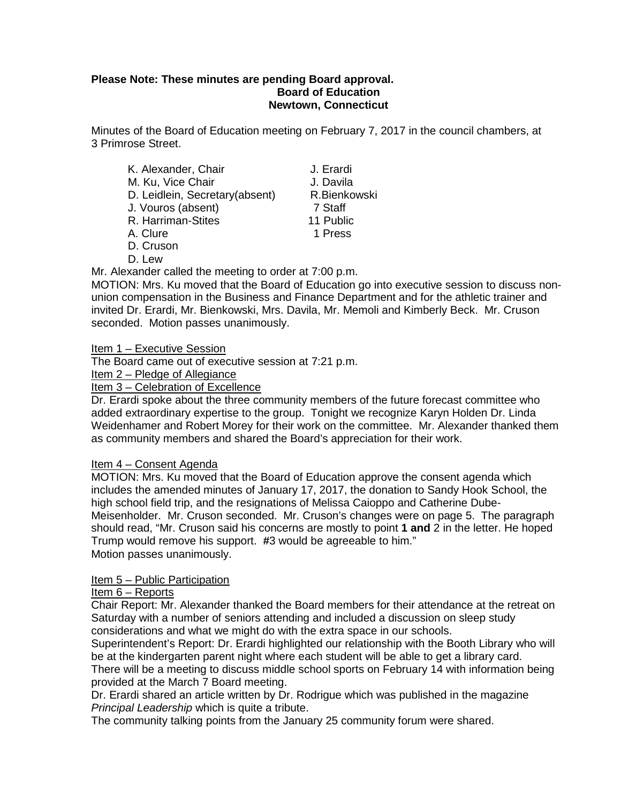#### **Please Note: These minutes are pending Board approval. Board of Education Newtown, Connecticut**

Minutes of the Board of Education meeting on February 7, 2017 in the council chambers, at 3 Primrose Street.

| K. Alexander, Chair            | J. Erardi    |
|--------------------------------|--------------|
| M. Ku, Vice Chair              | J. Davila    |
| D. Leidlein, Secretary(absent) | R.Bienkowski |
| J. Vouros (absent)             | 7 Staff      |
| R. Harriman-Stites             | 11 Public    |
| A. Clure                       | 1 Press      |
| D. Cruson                      |              |

D. Lew

Mr. Alexander called the meeting to order at 7:00 p.m.

MOTION: Mrs. Ku moved that the Board of Education go into executive session to discuss nonunion compensation in the Business and Finance Department and for the athletic trainer and invited Dr. Erardi, Mr. Bienkowski, Mrs. Davila, Mr. Memoli and Kimberly Beck. Mr. Cruson seconded. Motion passes unanimously.

Item 1 – Executive Session

The Board came out of executive session at 7:21 p.m.

Item 2 – Pledge of Allegiance

Item 3 – Celebration of Excellence

Dr. Erardi spoke about the three community members of the future forecast committee who added extraordinary expertise to the group. Tonight we recognize Karyn Holden Dr. Linda Weidenhamer and Robert Morey for their work on the committee. Mr. Alexander thanked them as community members and shared the Board's appreciation for their work.

#### Item 4 – Consent Agenda

MOTION: Mrs. Ku moved that the Board of Education approve the consent agenda which includes the amended minutes of January 17, 2017, the donation to Sandy Hook School, the high school field trip, and the resignations of Melissa Caioppo and Catherine Dube-Meisenholder. Mr. Cruson seconded. Mr. Cruson's changes were on page 5. The paragraph should read, "Mr. Cruson said his concerns are mostly to point **1 and** 2 in the letter. He hoped Trump would remove his support. **#**3 would be agreeable to him." Motion passes unanimously.

#### Item 5 – Public Participation

#### Item 6 – Reports

Chair Report: Mr. Alexander thanked the Board members for their attendance at the retreat on Saturday with a number of seniors attending and included a discussion on sleep study considerations and what we might do with the extra space in our schools.

Superintendent's Report: Dr. Erardi highlighted our relationship with the Booth Library who will be at the kindergarten parent night where each student will be able to get a library card.

There will be a meeting to discuss middle school sports on February 14 with information being provided at the March 7 Board meeting.

Dr. Erardi shared an article written by Dr. Rodrigue which was published in the magazine *Principal Leadership* which is quite a tribute.

The community talking points from the January 25 community forum were shared.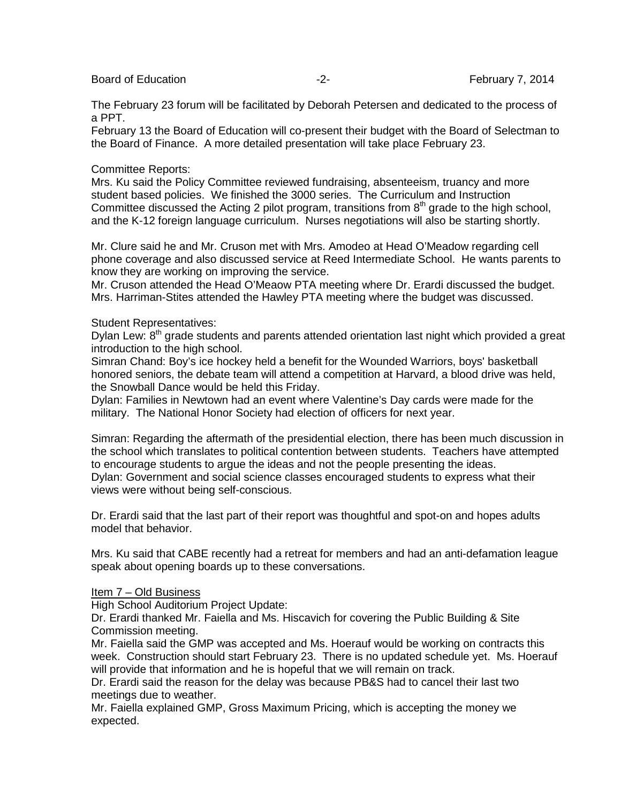Board of Education **Francisco Contract Contract Contract Contract Contract Contract Contract Contract Contract Contract Contract Contract Contract Contract Contract Contract Contract Contract Contract Contract Contract Con** 

The February 23 forum will be facilitated by Deborah Petersen and dedicated to the process of a PPT.

February 13 the Board of Education will co-present their budget with the Board of Selectman to the Board of Finance. A more detailed presentation will take place February 23.

#### Committee Reports:

Mrs. Ku said the Policy Committee reviewed fundraising, absenteeism, truancy and more student based policies. We finished the 3000 series. The Curriculum and Instruction Committee discussed the Acting 2 pilot program, transitions from  $8<sup>th</sup>$  grade to the high school, and the K-12 foreign language curriculum. Nurses negotiations will also be starting shortly.

Mr. Clure said he and Mr. Cruson met with Mrs. Amodeo at Head O'Meadow regarding cell phone coverage and also discussed service at Reed Intermediate School. He wants parents to know they are working on improving the service.

Mr. Cruson attended the Head O'Meaow PTA meeting where Dr. Erardi discussed the budget. Mrs. Harriman-Stites attended the Hawley PTA meeting where the budget was discussed.

#### Student Representatives:

Dylan Lew:  $8<sup>th</sup>$  grade students and parents attended orientation last night which provided a great introduction to the high school.

Simran Chand: Boy's ice hockey held a benefit for the Wounded Warriors, boys' basketball honored seniors, the debate team will attend a competition at Harvard, a blood drive was held, the Snowball Dance would be held this Friday.

Dylan: Families in Newtown had an event where Valentine's Day cards were made for the military. The National Honor Society had election of officers for next year.

Simran: Regarding the aftermath of the presidential election, there has been much discussion in the school which translates to political contention between students. Teachers have attempted to encourage students to argue the ideas and not the people presenting the ideas. Dylan: Government and social science classes encouraged students to express what their views were without being self-conscious.

Dr. Erardi said that the last part of their report was thoughtful and spot-on and hopes adults model that behavior.

Mrs. Ku said that CABE recently had a retreat for members and had an anti-defamation league speak about opening boards up to these conversations.

#### Item 7 – Old Business

High School Auditorium Project Update:

Dr. Erardi thanked Mr. Faiella and Ms. Hiscavich for covering the Public Building & Site Commission meeting.

Mr. Faiella said the GMP was accepted and Ms. Hoerauf would be working on contracts this week. Construction should start February 23. There is no updated schedule yet. Ms. Hoerauf will provide that information and he is hopeful that we will remain on track.

Dr. Erardi said the reason for the delay was because PB&S had to cancel their last two meetings due to weather.

Mr. Faiella explained GMP, Gross Maximum Pricing, which is accepting the money we expected.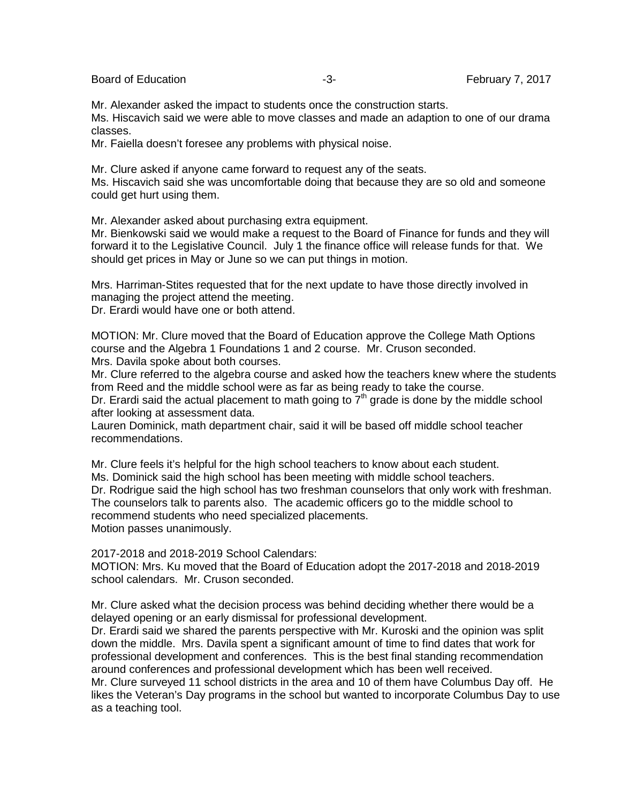Board of Education **-3-** February 7, 2017

Mr. Alexander asked the impact to students once the construction starts.

Ms. Hiscavich said we were able to move classes and made an adaption to one of our drama classes.

Mr. Faiella doesn't foresee any problems with physical noise.

Mr. Clure asked if anyone came forward to request any of the seats.

Ms. Hiscavich said she was uncomfortable doing that because they are so old and someone could get hurt using them.

Mr. Alexander asked about purchasing extra equipment.

Mr. Bienkowski said we would make a request to the Board of Finance for funds and they will forward it to the Legislative Council. July 1 the finance office will release funds for that. We should get prices in May or June so we can put things in motion.

Mrs. Harriman-Stites requested that for the next update to have those directly involved in managing the project attend the meeting.

Dr. Erardi would have one or both attend.

MOTION: Mr. Clure moved that the Board of Education approve the College Math Options course and the Algebra 1 Foundations 1 and 2 course. Mr. Cruson seconded. Mrs. Davila spoke about both courses.

Mr. Clure referred to the algebra course and asked how the teachers knew where the students from Reed and the middle school were as far as being ready to take the course.

Dr. Erardi said the actual placement to math going to  $7<sup>th</sup>$  grade is done by the middle school after looking at assessment data.

Lauren Dominick, math department chair, said it will be based off middle school teacher recommendations.

Mr. Clure feels it's helpful for the high school teachers to know about each student. Ms. Dominick said the high school has been meeting with middle school teachers. Dr. Rodrigue said the high school has two freshman counselors that only work with freshman. The counselors talk to parents also. The academic officers go to the middle school to recommend students who need specialized placements. Motion passes unanimously.

2017-2018 and 2018-2019 School Calendars:

MOTION: Mrs. Ku moved that the Board of Education adopt the 2017-2018 and 2018-2019 school calendars. Mr. Cruson seconded.

Mr. Clure asked what the decision process was behind deciding whether there would be a delayed opening or an early dismissal for professional development.

Dr. Erardi said we shared the parents perspective with Mr. Kuroski and the opinion was split down the middle. Mrs. Davila spent a significant amount of time to find dates that work for professional development and conferences. This is the best final standing recommendation around conferences and professional development which has been well received.

Mr. Clure surveyed 11 school districts in the area and 10 of them have Columbus Day off. He likes the Veteran's Day programs in the school but wanted to incorporate Columbus Day to use as a teaching tool.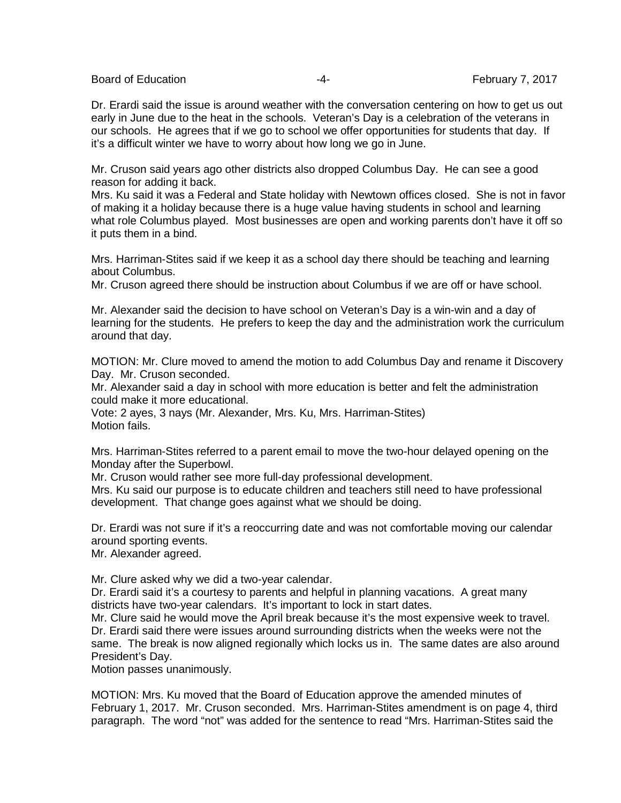Board of Education **Francisco Community** 2017 **February 7, 2017** 

Dr. Erardi said the issue is around weather with the conversation centering on how to get us out early in June due to the heat in the schools. Veteran's Day is a celebration of the veterans in our schools. He agrees that if we go to school we offer opportunities for students that day. If it's a difficult winter we have to worry about how long we go in June.

Mr. Cruson said years ago other districts also dropped Columbus Day. He can see a good reason for adding it back.

Mrs. Ku said it was a Federal and State holiday with Newtown offices closed. She is not in favor of making it a holiday because there is a huge value having students in school and learning what role Columbus played. Most businesses are open and working parents don't have it off so it puts them in a bind.

Mrs. Harriman-Stites said if we keep it as a school day there should be teaching and learning about Columbus.

Mr. Cruson agreed there should be instruction about Columbus if we are off or have school.

Mr. Alexander said the decision to have school on Veteran's Day is a win-win and a day of learning for the students. He prefers to keep the day and the administration work the curriculum around that day.

MOTION: Mr. Clure moved to amend the motion to add Columbus Day and rename it Discovery Day. Mr. Cruson seconded.

Mr. Alexander said a day in school with more education is better and felt the administration could make it more educational.

Vote: 2 ayes, 3 nays (Mr. Alexander, Mrs. Ku, Mrs. Harriman-Stites) Motion fails.

Mrs. Harriman-Stites referred to a parent email to move the two-hour delayed opening on the Monday after the Superbowl.

Mr. Cruson would rather see more full-day professional development.

Mrs. Ku said our purpose is to educate children and teachers still need to have professional development. That change goes against what we should be doing.

Dr. Erardi was not sure if it's a reoccurring date and was not comfortable moving our calendar around sporting events.

Mr. Alexander agreed.

Mr. Clure asked why we did a two-year calendar.

Dr. Erardi said it's a courtesy to parents and helpful in planning vacations. A great many districts have two-year calendars. It's important to lock in start dates.

Mr. Clure said he would move the April break because it's the most expensive week to travel. Dr. Erardi said there were issues around surrounding districts when the weeks were not the same. The break is now aligned regionally which locks us in. The same dates are also around President's Day.

Motion passes unanimously.

MOTION: Mrs. Ku moved that the Board of Education approve the amended minutes of February 1, 2017. Mr. Cruson seconded. Mrs. Harriman-Stites amendment is on page 4, third paragraph. The word "not" was added for the sentence to read "Mrs. Harriman-Stites said the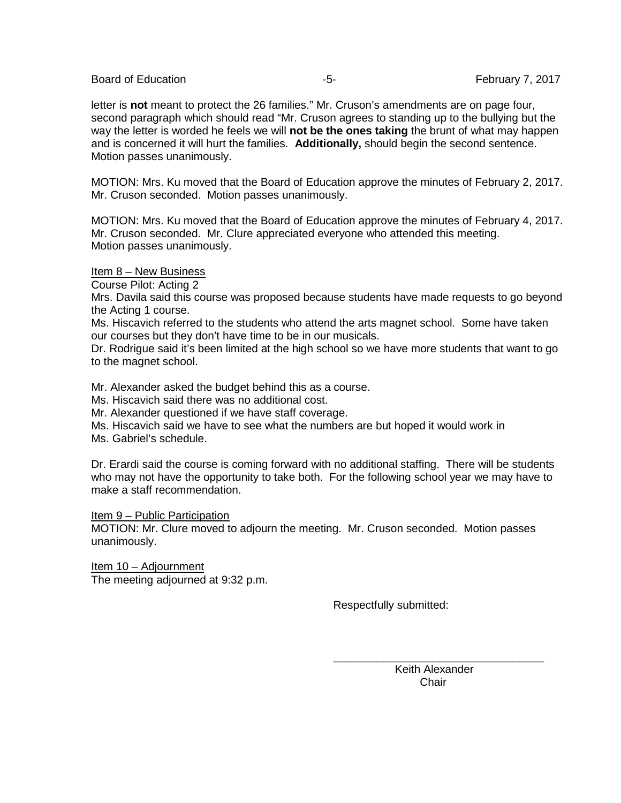Board of Education **Franchise Contract Contract Contract Contract Contract Contract Contract Contract Contract Contract Contract Contract Contract Contract Contract Contract Contract Contract Contract Contract Contract Con** 

letter is **not** meant to protect the 26 families." Mr. Cruson's amendments are on page four, second paragraph which should read "Mr. Cruson agrees to standing up to the bullying but the way the letter is worded he feels we will **not be the ones taking** the brunt of what may happen and is concerned it will hurt the families. **Additionally,** should begin the second sentence. Motion passes unanimously.

MOTION: Mrs. Ku moved that the Board of Education approve the minutes of February 2, 2017. Mr. Cruson seconded. Motion passes unanimously.

MOTION: Mrs. Ku moved that the Board of Education approve the minutes of February 4, 2017. Mr. Cruson seconded. Mr. Clure appreciated everyone who attended this meeting. Motion passes unanimously.

Item 8 – New Business

Course Pilot: Acting 2

Mrs. Davila said this course was proposed because students have made requests to go beyond the Acting 1 course.

Ms. Hiscavich referred to the students who attend the arts magnet school. Some have taken our courses but they don't have time to be in our musicals.

Dr. Rodrigue said it's been limited at the high school so we have more students that want to go to the magnet school.

Mr. Alexander asked the budget behind this as a course.

Ms. Hiscavich said there was no additional cost.

Mr. Alexander questioned if we have staff coverage.

Ms. Hiscavich said we have to see what the numbers are but hoped it would work in

Ms. Gabriel's schedule.

Dr. Erardi said the course is coming forward with no additional staffing. There will be students who may not have the opportunity to take both. For the following school year we may have to make a staff recommendation.

Item 9 – Public Participation

MOTION: Mr. Clure moved to adjourn the meeting. Mr. Cruson seconded. Motion passes unanimously.

 $\frac{1}{\sqrt{2}}$  ,  $\frac{1}{\sqrt{2}}$  ,  $\frac{1}{\sqrt{2}}$  ,  $\frac{1}{\sqrt{2}}$  ,  $\frac{1}{\sqrt{2}}$  ,  $\frac{1}{\sqrt{2}}$  ,  $\frac{1}{\sqrt{2}}$  ,  $\frac{1}{\sqrt{2}}$  ,  $\frac{1}{\sqrt{2}}$  ,  $\frac{1}{\sqrt{2}}$  ,  $\frac{1}{\sqrt{2}}$  ,  $\frac{1}{\sqrt{2}}$  ,  $\frac{1}{\sqrt{2}}$  ,  $\frac{1}{\sqrt{2}}$  ,  $\frac{1}{\sqrt{2}}$ 

Item 10 – Adjournment The meeting adjourned at 9:32 p.m.

Respectfully submitted:

 Keith Alexander in the contract of the contract of the contract of the contract of the contract of the contract of the contract of the contract of the contract of the contract of the contract of the contract of the contract of the contrac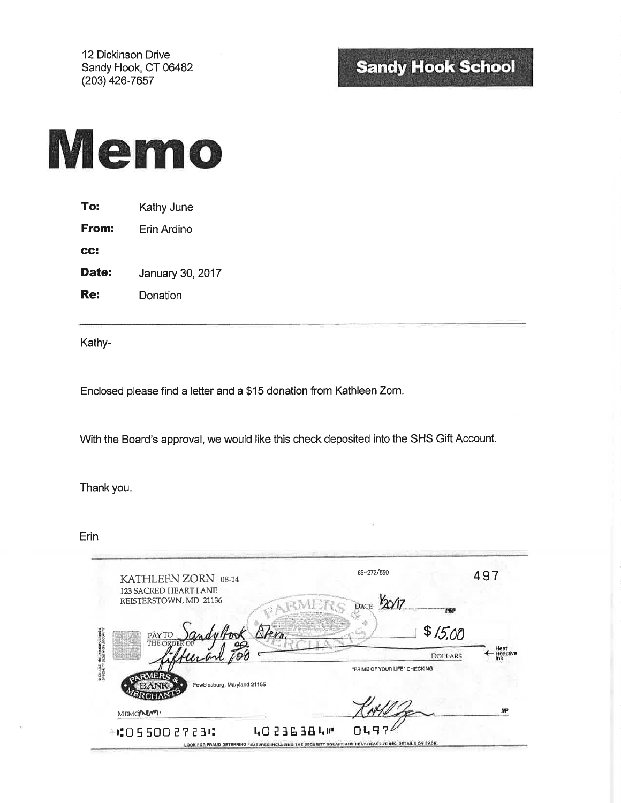12 Dickinson Drive Sandy Hook, CT 06482 (203) 426-7657

# **Sandy Hook School**



| To:   | Kathy June  |
|-------|-------------|
| From: | Erin Ardino |
| CC:   |             |
|       |             |

Date: January 30, 2017

Re: Donation

Kathy-

Enclosed please find a letter and a \$15 donation from Kathleen Zorn.

With the Board's approval, we would like this check deposited into the SHS Gift Account.

Thank you.

Erin

| KATHLEEN ZORN 08-14         | 65-272/550                    | 497              |
|-----------------------------|-------------------------------|------------------|
| 123 SACRED HEART LANE       |                               |                  |
| REISTERSTOWN, MD 21136      | DATE<br><b>PWP</b>            |                  |
| PAY TO                      | \$15,00<br><i>Blem</i>        |                  |
| THE ORD                     | <b>DOLLARS</b>                | Heat<br>Reactive |
|                             | "PRIME OF YOUR LIFE" CHECKING |                  |
| Fowblesburg, Maryland 21155 |                               |                  |
|                             |                               | MP               |
| MEMONUM.                    |                               |                  |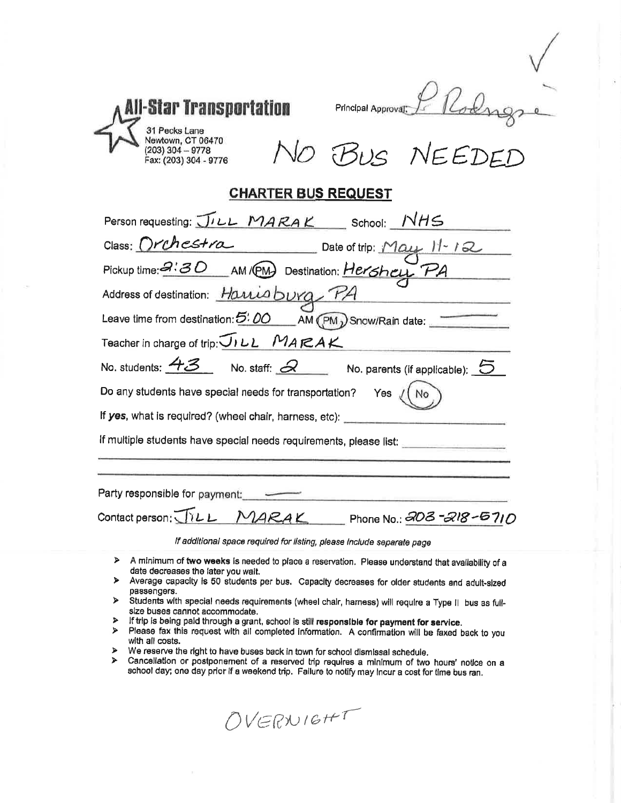| l-Star Transportation<br>Principal Approval:<br>31 Pecks Lane<br>Newtown, CT 06470<br>(203) 304 - 9778<br>Fax: (203) 304 - 9776<br>VO BUS NEEDED                                                                                                                   |
|--------------------------------------------------------------------------------------------------------------------------------------------------------------------------------------------------------------------------------------------------------------------|
| <b>CHARTER BUS REQUEST</b>                                                                                                                                                                                                                                         |
| Person requesting: JILL MARAK School: NHS                                                                                                                                                                                                                          |
|                                                                                                                                                                                                                                                                    |
| Class: Orchestra Date of trip: May 11-12<br>Pickup time: 2:30 AM/PM Destination: Hershey PA                                                                                                                                                                        |
| Address of destination: <i>Harria burg</i> PA                                                                                                                                                                                                                      |
| Leave time from destination: $5.00$ AM (PM) Snow/Rain date:                                                                                                                                                                                                        |
| Teacher in charge of trip: $\overline{U_1 L L}$ $MARAK$                                                                                                                                                                                                            |
| No. students: $\overline{43}$ No. staff: $\overline{\mathscr{A}}$ No. parents (if applicable): $\overline{\mathbb{S}}$                                                                                                                                             |
| Do any students have special needs for transportation?<br>Yes $\sqrt{ }$                                                                                                                                                                                           |
| If yes, what is required? (wheel chair, harness, etc):                                                                                                                                                                                                             |
| if multiple students have special needs requirements, please list:                                                                                                                                                                                                 |
|                                                                                                                                                                                                                                                                    |
| Party responsible for payment:                                                                                                                                                                                                                                     |
| Contact person: JILL<br>MARAK<br>Phone No.: 202-218-5710                                                                                                                                                                                                           |
| If additional space required for listing, please include separate page                                                                                                                                                                                             |
| ⋗<br>A minimum of two weeks is needed to place a reservation. Please understand that availability of a<br>date decreases the later you walt.<br>Average capacity is 50 students per bus. Capacity decreases for older students and adult-sized<br>⋗<br>passengers. |

1

- $\blacktriangleright$ Students with special needs requirements (wheel chair, hamess) will require a Type II bus as fullsize buses cannot accommodate.
- $\blacktriangleright$ If trip is being paid through a grant, school is still responsible for payment for service.
- Please fax this request with all completed information. A confirmation will be faxed back to you  $\blacktriangleright$ with all costs.
- $\blacktriangleright$ We reserve the right to have buses back in town for school dismissal schedule.
- $\blacktriangle$ Cancellation or postponement of a reserved trip requires a minimum of two hours' notice on a school day; one day prior if a weekend trip. Failure to notify may incur a cost for time bus ran.

OVERNIGHT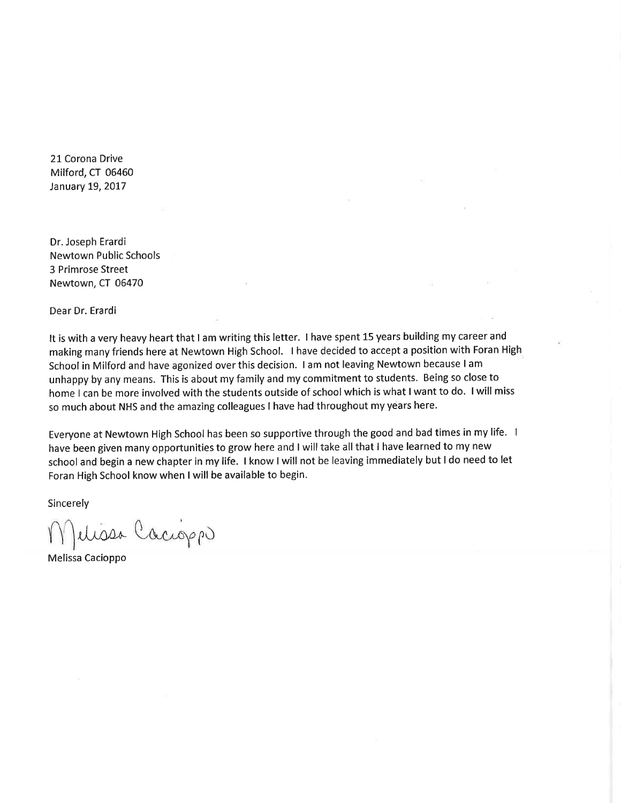21 Corona Drive Milford, CT 06460 January 19, 2017

Dr. Joseph Erardi **Newtown Public Schools** 3 Primrose Street Newtown, CT 06470

Dear Dr. Erardi

It is with a very heavy heart that I am writing this letter. I have spent 15 years building my career and making many friends here at Newtown High School. I have decided to accept a position with Foran High School in Milford and have agonized over this decision. I am not leaving Newtown because I am unhappy by any means. This is about my family and my commitment to students. Being so close to home I can be more involved with the students outside of school which is what I want to do. I will miss so much about NHS and the amazing colleagues I have had throughout my years here.

Everyone at Newtown High School has been so supportive through the good and bad times in my life. 1 have been given many opportunities to grow here and I will take all that I have learned to my new school and begin a new chapter in my life. I know I will not be leaving immediately but I do need to let Foran High School know when I will be available to begin.

Sincerely

Jelissa Cacioppo

Melissa Cacioppo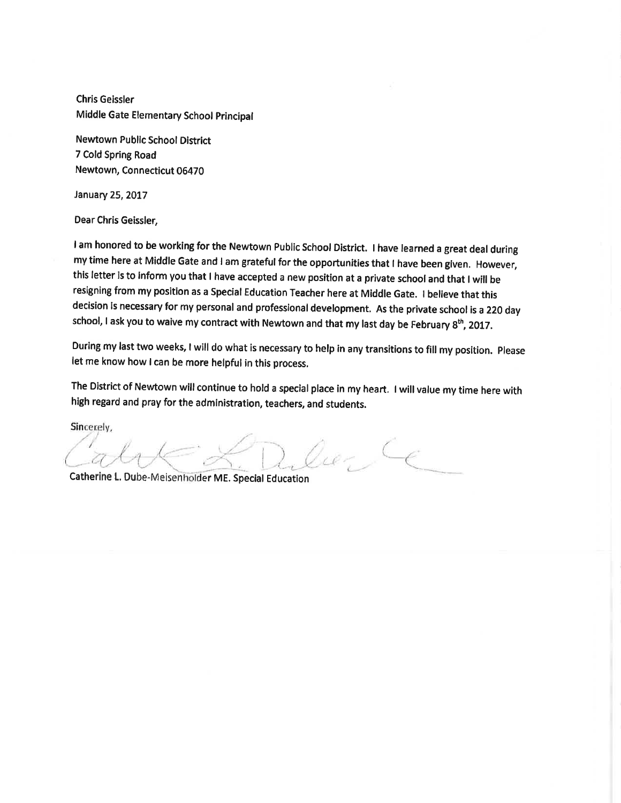**Chris Geissler** Middle Gate Elementary School Principal

Newtown Public School District 7 Cold Spring Road Newtown, Connecticut 06470

January 25, 2017

Dear Chris Geissler,

I am honored to be working for the Newtown Public School District. I have learned a great deal during my time here at Middle Gate and I am grateful for the opportunities that I have been given. However, this letter is to inform you that I have accepted a new position at a private school and that I will be resigning from my position as a Special Education Teacher here at Middle Gate. I believe that this decision is necessary for my personal and professional development. As the private school is a 220 day school, I ask you to waive my contract with Newtown and that my last day be February 8<sup>th</sup>, 2017.

During my last two weeks, I will do what is necessary to help in any transitions to fill my position. Please let me know how I can be more helpful in this process.

The District of Newtown will continue to hold a special place in my heart. I will value my time here with high regard and pray for the administration, teachers, and students.

Sincerely,

ne CE

Catherine L. Dube-Meisenholder ME. Special Education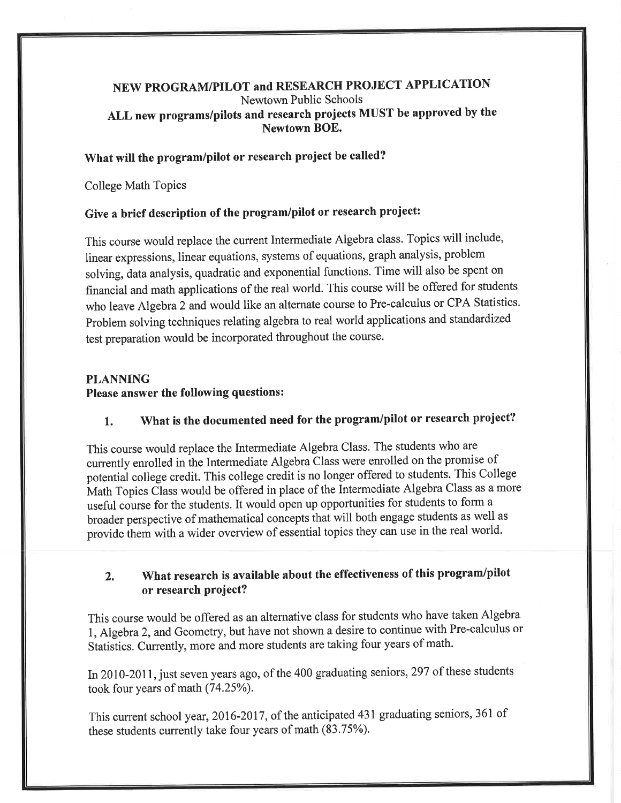## NEW PROGRAM/PILOT and RESEARCH PROJECT APPLICATION Newtown Public Schools ALL new programs/pilots and research projects MUST be approved by the Newtown BOE.

#### What will the program/pilot or research project be called?

**College Math Topics** 

## Give a brief description of the program/pilot or research project:

This course would replace the current Intermediate Algebra class. Topics will include, linear expressions, linear equations, systems of equations, graph analysis, problem solving, data analysis, quadratic and exponential functions. Time will also be spent on financial and math applications of the real world. This course will be offered for students who leave Algebra 2 and would like an alternate course to Pre-calculus or CPA Statistics. Problem solving techniques relating algebra to real world applications and standardized test preparation would be incorporated throughout the course.

## **PLANNING** Please answer the following questions:

#### What is the documented need for the program/pilot or research project?  $1.$

This course would replace the Intermediate Algebra Class. The students who are currently enrolled in the Intermediate Algebra Class were enrolled on the promise of potential college credit. This college credit is no longer offered to students. This College Math Topics Class would be offered in place of the Intermediate Algebra Class as a more useful course for the students. It would open up opportunities for students to form a broader perspective of mathematical concepts that will both engage students as well as provide them with a wider overview of essential topics they can use in the real world.

#### What research is available about the effectiveness of this program/pilot  $2.$ or research project?

This course would be offered as an alternative class for students who have taken Algebra 1, Algebra 2, and Geometry, but have not shown a desire to continue with Pre-calculus or Statistics. Currently, more and more students are taking four years of math.

In 2010-2011, just seven years ago, of the 400 graduating seniors, 297 of these students took four years of math (74.25%).

This current school year, 2016-2017, of the anticipated 431 graduating seniors, 361 of these students currently take four years of math (83.75%).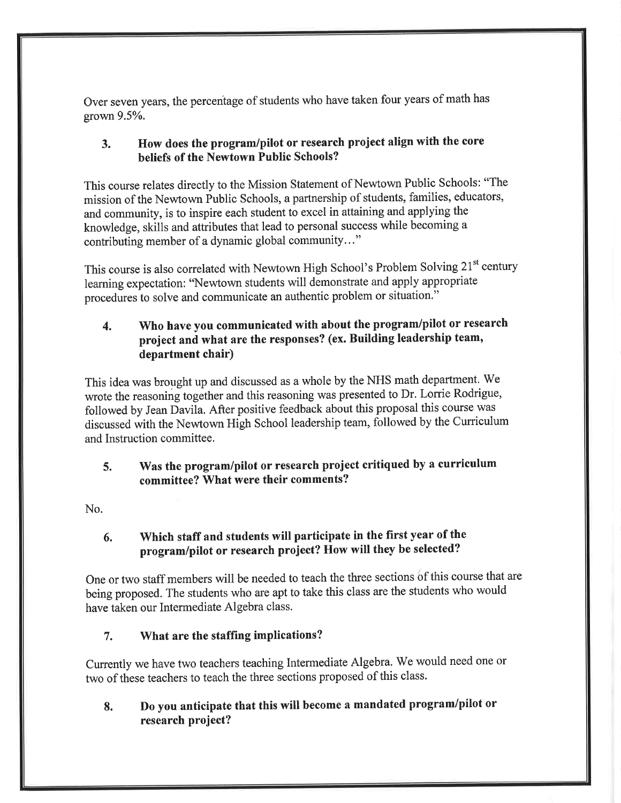Over seven years, the percentage of students who have taken four years of math has grown 9.5%.

#### How does the program/pilot or research project align with the core  $3<sub>1</sub>$ beliefs of the Newtown Public Schools?

This course relates directly to the Mission Statement of Newtown Public Schools: "The mission of the Newtown Public Schools, a partnership of students, families, educators, and community, is to inspire each student to excel in attaining and applying the knowledge, skills and attributes that lead to personal success while becoming a contributing member of a dynamic global community..."

This course is also correlated with Newtown High School's Problem Solving 21<sup>st</sup> century learning expectation: "Newtown students will demonstrate and apply appropriate procedures to solve and communicate an authentic problem or situation."

#### Who have you communicated with about the program/pilot or research  $\overline{4}$ . project and what are the responses? (ex. Building leadership team, department chair)

This idea was brought up and discussed as a whole by the NHS math department. We wrote the reasoning together and this reasoning was presented to Dr. Lorrie Rodrigue, followed by Jean Davila. After positive feedback about this proposal this course was discussed with the Newtown High School leadership team, followed by the Curriculum and Instruction committee.

#### Was the program/pilot or research project critiqued by a curriculum  $5.$ committee? What were their comments?

No.

#### Which staff and students will participate in the first year of the 6. program/pilot or research project? How will they be selected?

One or two staff members will be needed to teach the three sections of this course that are being proposed. The students who are apt to take this class are the students who would have taken our Intermediate Algebra class.

#### $7.$ What are the staffing implications?

Currently we have two teachers teaching Intermediate Algebra. We would need one or two of these teachers to teach the three sections proposed of this class.

#### Do you anticipate that this will become a mandated program/pilot or 8. research project?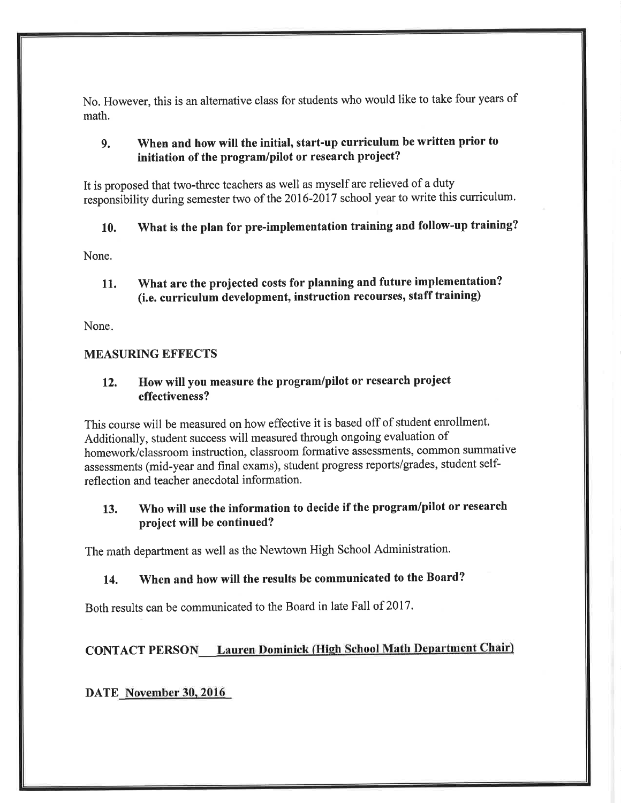No. However, this is an alternative class for students who would like to take four years of math.

#### When and how will the initial, start-up curriculum be written prior to  $9<sub>1</sub>$ initiation of the program/pilot or research project?

It is proposed that two-three teachers as well as myself are relieved of a duty responsibility during semester two of the 2016-2017 school year to write this curriculum.

#### What is the plan for pre-implementation training and follow-up training? 10.

None.

What are the projected costs for planning and future implementation? 11. (i.e. curriculum development, instruction recourses, staff training)

None.

## **MEASURING EFFECTS**

#### How will you measure the program/pilot or research project  $12.$ effectiveness?

This course will be measured on how effective it is based off of student enrollment. Additionally, student success will measured through ongoing evaluation of homework/classroom instruction, classroom formative assessments, common summative assessments (mid-year and final exams), student progress reports/grades, student selfreflection and teacher anecdotal information.

#### Who will use the information to decide if the program/pilot or research  $13.$ project will be continued?

The math department as well as the Newtown High School Administration.

#### When and how will the results be communicated to the Board? 14.

Both results can be communicated to the Board in late Fall of 2017.

## **CONTACT PERSON** Lauren Dominick (High School Math Department Chair)

DATE November 30, 2016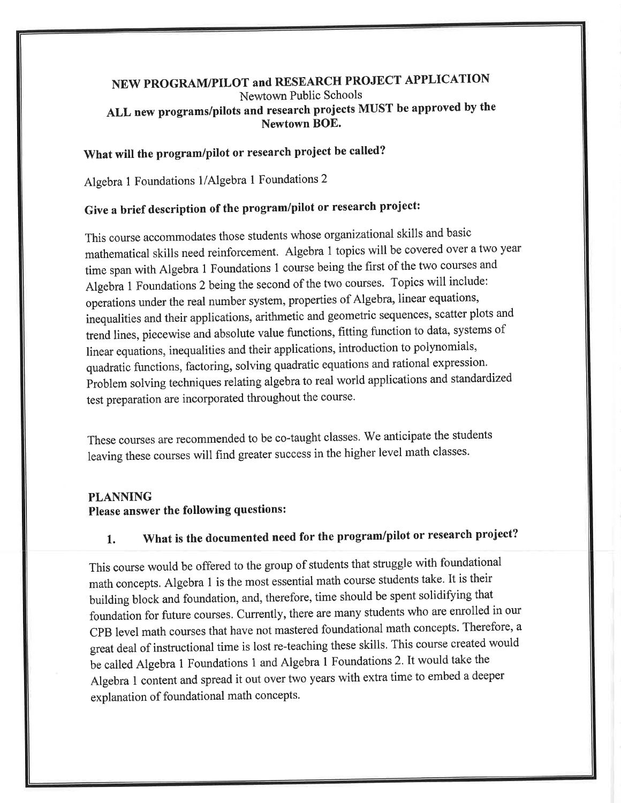## NEW PROGRAM/PILOT and RESEARCH PROJECT APPLICATION Newtown Public Schools ALL new programs/pilots and research projects MUST be approved by the Newtown BOE.

# What will the program/pilot or research project be called?

Algebra 1 Foundations 1/Algebra 1 Foundations 2

# Give a brief description of the program/pilot or research project:

This course accommodates those students whose organizational skills and basic mathematical skills need reinforcement. Algebra 1 topics will be covered over a two year time span with Algebra 1 Foundations 1 course being the first of the two courses and Algebra 1 Foundations 2 being the second of the two courses. Topics will include: operations under the real number system, properties of Algebra, linear equations, inequalities and their applications, arithmetic and geometric sequences, scatter plots and trend lines, piecewise and absolute value functions, fitting function to data, systems of linear equations, inequalities and their applications, introduction to polynomials, quadratic functions, factoring, solving quadratic equations and rational expression. Problem solving techniques relating algebra to real world applications and standardized test preparation are incorporated throughout the course.

These courses are recommended to be co-taught classes. We anticipate the students leaving these courses will find greater success in the higher level math classes.

#### **PLANNING**

## Please answer the following questions:

#### What is the documented need for the program/pilot or research project? 1.

This course would be offered to the group of students that struggle with foundational math concepts. Algebra 1 is the most essential math course students take. It is their building block and foundation, and, therefore, time should be spent solidifying that foundation for future courses. Currently, there are many students who are enrolled in our CPB level math courses that have not mastered foundational math concepts. Therefore, a great deal of instructional time is lost re-teaching these skills. This course created would be called Algebra 1 Foundations 1 and Algebra 1 Foundations 2. It would take the Algebra 1 content and spread it out over two years with extra time to embed a deeper explanation of foundational math concepts.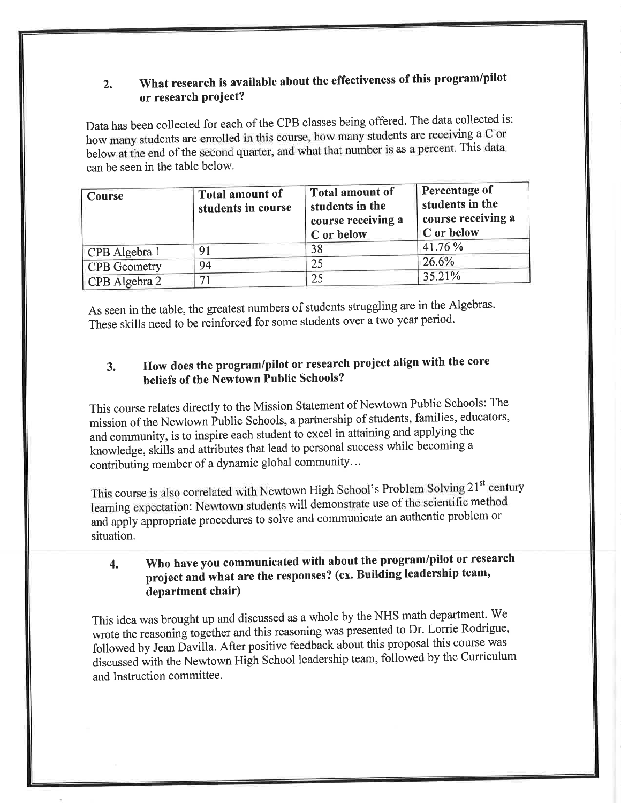#### What research is available about the effectiveness of this program/pilot  $2.$ or research project?

Data has been collected for each of the CPB classes being offered. The data collected is: how many students are enrolled in this course, how many students are receiving a C or below at the end of the second quarter, and what that number is as a percent. This data can be seen in the table below.

| <b>Course</b>       | <b>Total amount of</b><br>students in course | <b>Total amount of</b><br>students in the<br>course receiving a<br>C or below | Percentage of<br>students in the<br>course receiving a<br>C or below |
|---------------------|----------------------------------------------|-------------------------------------------------------------------------------|----------------------------------------------------------------------|
| CPB Algebra 1       | 91                                           | 38                                                                            | 41.76 %                                                              |
| <b>CPB</b> Geometry | 94                                           | 25                                                                            | 26.6%                                                                |
| CPB Algebra 2       |                                              | 25                                                                            | 35.21%                                                               |

As seen in the table, the greatest numbers of students struggling are in the Algebras. These skills need to be reinforced for some students over a two year period.

#### How does the program/pilot or research project align with the core  $3.$ beliefs of the Newtown Public Schools?

This course relates directly to the Mission Statement of Newtown Public Schools: The mission of the Newtown Public Schools, a partnership of students, families, educators, and community, is to inspire each student to excel in attaining and applying the knowledge, skills and attributes that lead to personal success while becoming a contributing member of a dynamic global community...

This course is also correlated with Newtown High School's Problem Solving 21<sup>st</sup> century learning expectation: Newtown students will demonstrate use of the scientific method and apply appropriate procedures to solve and communicate an authentic problem or situation.

#### Who have you communicated with about the program/pilot or research  $\overline{4}$ . project and what are the responses? (ex. Building leadership team, department chair)

This idea was brought up and discussed as a whole by the NHS math department. We wrote the reasoning together and this reasoning was presented to Dr. Lorrie Rodrigue, followed by Jean Davilla. After positive feedback about this proposal this course was discussed with the Newtown High School leadership team, followed by the Curriculum and Instruction committee.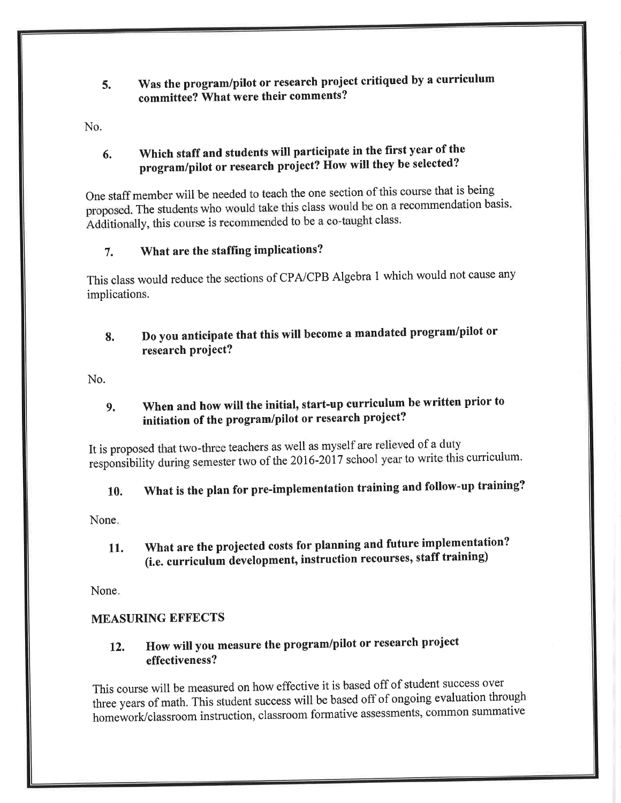#### Was the program/pilot or research project critiqued by a curriculum 5. committee? What were their comments?

No.

#### Which staff and students will participate in the first year of the 6. program/pilot or research project? How will they be selected?

One staff member will be needed to teach the one section of this course that is being proposed. The students who would take this class would be on a recommendation basis. Additionally, this course is recommended to be a co-taught class.

#### What are the staffing implications? 7.

This class would reduce the sections of CPA/CPB Algebra 1 which would not cause any implications.

#### Do you anticipate that this will become a mandated program/pilot or 8. research project?

No.

#### When and how will the initial, start-up curriculum be written prior to 9. initiation of the program/pilot or research project?

It is proposed that two-three teachers as well as myself are relieved of a duty responsibility during semester two of the 2016-2017 school year to write this curriculum.

#### What is the plan for pre-implementation training and follow-up training? 10.

None.

What are the projected costs for planning and future implementation? 11. (i.e. curriculum development, instruction recourses, staff training)

None.

## **MEASURING EFFECTS**

#### How will you measure the program/pilot or research project 12. effectiveness?

This course will be measured on how effective it is based off of student success over three years of math. This student success will be based off of ongoing evaluation through homework/classroom instruction, classroom formative assessments, common summative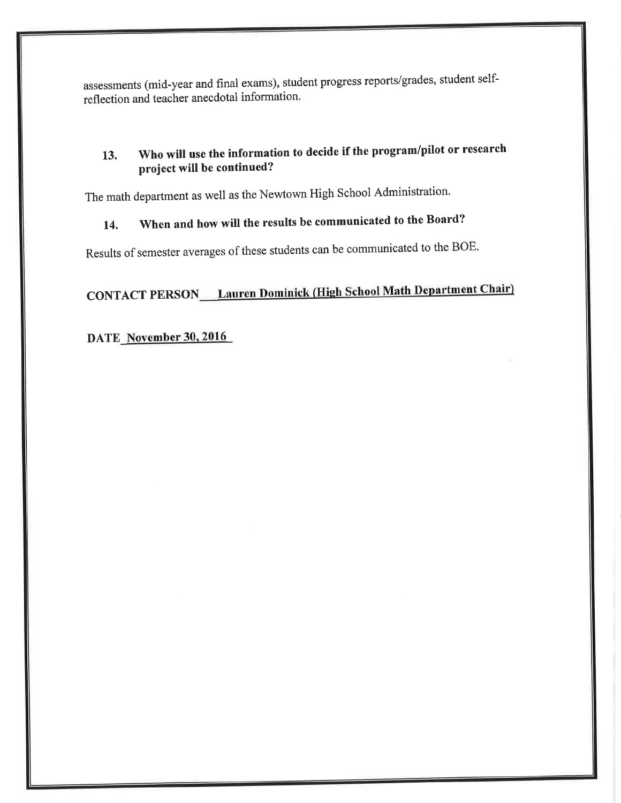assessments (mid-year and final exams), student progress reports/grades, student selfreflection and teacher anecdotal information.

#### Who will use the information to decide if the program/pilot or research 13. project will be continued?

The math department as well as the Newtown High School Administration.

#### When and how will the results be communicated to the Board? 14.

Results of semester averages of these students can be communicated to the BOE.

# **CONTACT PERSON\_\_\_ Lauren Dominick (High School Math Department Chair)**

# DATE\_November 30, 2016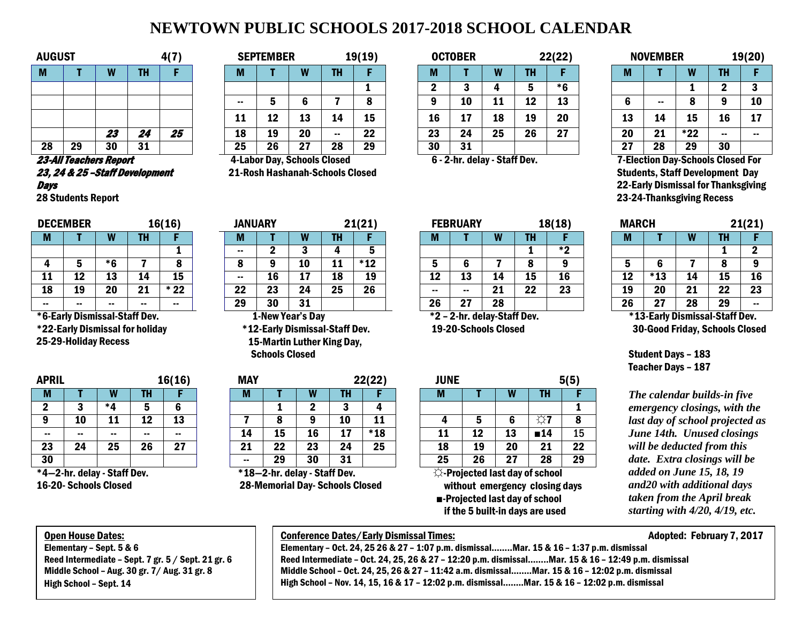# **NEWTOWN PUBLIC SCHOOLS 2017-2018 SCHOOL CALENDAR**

| <b>AUGUST</b> |    |    |           | 4(7) |
|---------------|----|----|-----------|------|
| M             |    | ♦  | <b>TH</b> | F    |
|               |    |    |           |      |
|               |    |    |           |      |
|               |    |    |           |      |
|               |    | 23 | 24        | 25   |
| 28            | 29 | 30 | 31        |      |

#### 23-All Teachers Report 23, 24 & 25 –Staff Development **Days**

28 Students Report

|                             | <b>DECEMBER</b> |    |               | 16(16) | <b>JANUARY</b> |                   |                                 |    | 21(21) |                               | <b>FEBRUARY</b> |          |                 | 18(18) | <b>MARCH</b> |     |     |          | 21(21)      |
|-----------------------------|-----------------|----|---------------|--------|----------------|-------------------|---------------------------------|----|--------|-------------------------------|-----------------|----------|-----------------|--------|--------------|-----|-----|----------|-------------|
| M                           |                 |    | ıп            |        | M              |                   |                                 | .  |        | IVI                           |                 |          | н.<br>ш         |        | w            |     |     | Ш        |             |
|                             |                 |    |               |        | $\sim$         |                   |                                 |    |        |                               |                 |          |                 | $*$ 2  |              |     |     |          |             |
|                             |                 | *6 |               |        |                |                   | 10                              | ᆠ  | $*12$  |                               |                 |          |                 |        |              |     |     |          | $\mathbf a$ |
| ᆠ                           |                 | 13 | 14            | 15     | --             | 16                | 17<br>. .                       | 18 | 19     | 12                            | 13              | 14       | 15              | 16     | 12<br>∸∸     | *13 | 14  | --       | 16          |
| 18                          | 19              | 20 | 21            | $*22$  | מל<br>44       | 23                | 24                              | 25 | 26     | --                            | $\sim$          | ŋ,<br>41 | າາ<br><u>__</u> | 23     | 19           | 20  | 21  | מה<br>"  | 23          |
| --                          | $\sim$          |    | $\sim$ $\sim$ | $\sim$ | 29             | 30                | 31                              |    |        | 26                            | 27              | 28       |                 |        | 26           | 27  | 28  | 29       | $\sim$      |
| $\sim$ $\sim$ $\sim$ $\sim$ | .               |    | .             |        |                | .<br>$\mathbf{r}$ | . .<br>$\overline{\phantom{a}}$ |    |        | $\mathbf{a}$ and $\mathbf{a}$ | - - -<br>.      | $-1$     |                 |        |              | .   | --- | $\cdots$ |             |

\*6-Early Dismissal-Staff Dev. \*22-Early Dismissal for holiday 25-29-Holiday Recess

| <b>APRIL</b> |               |             |    | 16(16) |
|--------------|---------------|-------------|----|--------|
| M            |               |             | TН |        |
| 2            | 3             | *4          | 5  | 6      |
| 9            | 10            | 11          | 12 | 13     |
|              |               |             |    |        |
| 23           | 24            | 25          | 26 | 27     |
| 30           |               |             |    |        |
| * A          | Other alatasi | $P1$ $P2$ . |    |        |

\*4—2-hr. delay - Staff Dev. 16-20- Schools Closed

| <b>AUGUST</b> |    |    |           | -41 <sup>-</sup> |          | <b>SEPTEMBER</b> |               |           | 19(19) |    | <b>OCTOBER</b> |          |    | 22(22) |           | <b>NOVEMBER</b> |               |    | 19(20) |
|---------------|----|----|-----------|------------------|----------|------------------|---------------|-----------|--------|----|----------------|----------|----|--------|-----------|-----------------|---------------|----|--------|
| М             |    |    | <b>TH</b> |                  | <b>M</b> |                  |               | <b>TH</b> |        | М  |                |          | TH |        |           |                 | W             |    |        |
|               |    |    |           |                  |          |                  |               |           |        |    |                |          |    | *6     |           |                 |               |    |        |
|               |    |    |           |                  | $\sim$   |                  |               |           |        |    | 10             | 11       |    | 13     |           | --              |               |    | 10     |
|               |    |    |           |                  | 11       | 12               | 13            | 14        | 15     | 16 | 17             | 18       | 19 | 20     | 13        | 14              | 15            | 16 | 17     |
|               |    | 23 | 24        | 25               | 18       | 19               | 20            | $\sim$    | 22     | 23 | 24             | 25       | 26 | 27     | 20        | 21              | $*22$         | -- | --     |
| 28            | 29 | 30 | 31        |                  | 25       | 26               | רמ<br>41      | 28        | 29     | 30 | 31             |          |    |        | רמ<br>. . | 28              | 29            | 30 |        |
| -- ---        |    |    |           |                  | .        | $\sim$           | $\sim$ $\sim$ | . .       |        |    | .              | $\cdots$ |    |        | - --      | $\sim$          | $\sim$ $\sim$ | .  | . .    |

 4-Labor Day, Schools Closed 21-Rosh Hashanah-Schools Closed

| AUGUST |    |                         |                            | 417 |        | <b>SEPTEMBER</b> |         |           | 19(19) |              | <b>OCTOBER</b> |    |           | 22(22) |          | <b>NOVEMBER</b> |                                                                                                                                                                                                                                                                                                                                                           |           | 19(20) |
|--------|----|-------------------------|----------------------------|-----|--------|------------------|---------|-----------|--------|--------------|----------------|----|-----------|--------|----------|-----------------|-----------------------------------------------------------------------------------------------------------------------------------------------------------------------------------------------------------------------------------------------------------------------------------------------------------------------------------------------------------|-----------|--------|
| M      |    |                         |                            |     | M      |                  | W       | <b>TH</b> |        | M            |                | W  | <b>TH</b> |        | IV       |                 | W                                                                                                                                                                                                                                                                                                                                                         | <b>TH</b> |        |
|        |    |                         |                            |     |        |                  |         |           |        |              |                |    |           | *6     |          |                 |                                                                                                                                                                                                                                                                                                                                                           |           |        |
|        |    |                         |                            |     | $\sim$ |                  |         |           |        | $\mathbf{a}$ | 10             | ᆚ  | 12        | 13     | 6        | $\sim$          |                                                                                                                                                                                                                                                                                                                                                           |           | 10     |
|        |    |                         |                            |     | . .    | 12               | 13      | 14        | 15     | 16           | 17             | 18 | 19        | 20     | 13       | 14              | 15                                                                                                                                                                                                                                                                                                                                                        | 16        | 17     |
|        |    | 23                      | $\boldsymbol{\eta}$<br>- 1 | 25  | 18     | 19               | 20      | $\sim$    | 22     | 23           | 24             | 25 | 26        | 27     | 20       | 21              | *22                                                                                                                                                                                                                                                                                                                                                       | $\sim$    | $\sim$ |
| 28     | 29 | 30                      | 31                         |     | 25     | 26               | רי<br>◢ | 28        | 29     | 30           | 31             |    |           |        | רמ<br>41 | 28              | 29                                                                                                                                                                                                                                                                                                                                                        | 30        |        |
|        |    | <b>AA JURUPAL ALL A</b> |                            |     |        |                  |         |           |        |              |                |    |           |        |          |                 | $\overline{a}$ $\overline{a}$ . $\overline{a}$ . $\overline{a}$ . $\overline{a}$ . $\overline{a}$ . $\overline{a}$ . $\overline{a}$ . $\overline{a}$ . $\overline{a}$ . $\overline{a}$ . $\overline{a}$ . $\overline{a}$ . $\overline{a}$ . $\overline{a}$ . $\overline{a}$ . $\overline{a}$ . $\overline{a}$ . $\overline{a}$ . $\overline{a}$ . $\over$ |           |        |

|    | NOVEMBER |     | 19(20) |    |  |  |  |  |
|----|----------|-----|--------|----|--|--|--|--|
| М  |          | W   | TH     | F  |  |  |  |  |
|    |          |     | 2      | 3  |  |  |  |  |
| 6  |          | 8   | 9      | 10 |  |  |  |  |
| 13 | 14       | 15  | 16     | 17 |  |  |  |  |
| 20 | 21       | *22 |        |    |  |  |  |  |
| 27 | 28       | 29  | 30     |    |  |  |  |  |

6 - 2-hr. delay - Staff Dev. 7-Election Day-Schools Closed For Students, Staff Development Day 22-Early Dismissal for Thanksgiving 23-24-Thanksgiving Recess

| MARCH |               |    |                 | 21(21) |
|-------|---------------|----|-----------------|--------|
| M     |               | W  | TH              |        |
|       |               |    |                 | 2      |
| 5     | 6             |    | 8               | 9      |
| 12    | $*13$         | 14 | 15              | 16     |
| 19    | 20            | 21 | $\overline{22}$ | 23     |
| 26    | 27            | 28 | 29              |        |
| + 4 m | E a alca INS. |    | 1 AL 4 B.       |        |

 \*13-Early Dismissal-Staff Dev. 30-Good Friday, Schools Closed

Student Days – 183 Teacher Days – 187

**The calendar builds-in five** *emergency closings, with the last day of school projected as June 14th. Unused closings will be deducted from this date. Extra closings will be added on June 15, 18, 19 and20 with additional days taken from the April break starting with 4/20, 4/19, etc.*

### Open House Dates:

Elementary – Sept. 5 & 6 Reed Intermediate – Sept. 7 gr. 5 / Sept. 21 gr. 6 Middle School – Aug. 30 gr. 7/ Aug. 31 gr. 8 High School – Sept. 14

# 1-New Year's Day

 \*12-Early Dismissal-Staff Dev. 15-Martin Luther King Day, Schools Closed

| <b>APRIL</b> | 16(16) |                      | <b>MAY</b> |    |                                                                                    |     | 22(22) | <b>JUNE</b>   |                 |    |    | 5(5) |                   |    |
|--------------|--------|----------------------|------------|----|------------------------------------------------------------------------------------|-----|--------|---------------|-----------------|----|----|------|-------------------|----|
| M            |        | W                    | ш          |    | M                                                                                  |     | w      | Ш             |                 | M  |    |      | TH                |    |
| ŋ            | w      | * Л                  |            | ю  |                                                                                    |     |        |               |                 |    |    |      |                   |    |
|              | 10     | 11                   | 12         | 13 |                                                                                    |     |        | 10            | 11              |    |    |      |                   | 8  |
| $\sim$       | --     | $\sim$               | --         |    | 14                                                                                 | 15  | 16     | 17            | $*18$           | 11 | 12 | 13   | $\blacksquare$ 14 | 15 |
| 23           | 24     | 25                   | 26         | 27 | 21                                                                                 | 22  | 23     | 24            | $\overline{25}$ | 18 | 19 | 20   | 21                | 22 |
| 30           |        |                      |            |    | $\sim$ $\sim$                                                                      | 29  | 30     | 31            |                 | 25 | 26 | 27   | 28                | 29 |
| .            | . .    | $\sim$ $\sim$ $\sim$ |            |    | $\begin{array}{ccc}\n\bullet & \bullet & \bullet & \bullet & \bullet\n\end{array}$ | . . |        | $\sim$ $\sim$ |                 |    | .  | . .  |                   |    |

\*18—2-hr. delay - Staff Dev. 28-Memorial Day- Schools Closed

|    | <b>ECEMBER</b> |    |                                     | 16(16) | <b>JANUARY</b> |    |                  |    | 21(21)          |           | <b>FEBRUARY</b>             |    |    | 18(18)    | <b>MARCH</b> |                                |    |          | 21(21) |
|----|----------------|----|-------------------------------------|--------|----------------|----|------------------|----|-----------------|-----------|-----------------------------|----|----|-----------|--------------|--------------------------------|----|----------|--------|
| M  |                |    | TH                                  |        | IV.            |    |                  | TΗ |                 |           |                             |    |    |           | М            |                                |    |          |        |
|    |                |    |                                     |        | $\sim$ $\sim$  |    |                  |    |                 |           |                             |    |    | $*2$<br>∼ |              |                                |    |          |        |
| 4  |                | *G |                                     | o      | о              |    | 10               | 11 | $*12$           |           |                             |    |    |           |              | o                              |    |          | o      |
| 11 | 12             | 13 | 14                                  | 15     | $\sim$ $\sim$  | 16 | <b>. .</b>       | 18 | 19              | -19<br>∸∸ | 13                          | 14 | 15 | 16        | 19<br>       | *13                            | 14 | 13       | 16     |
| 18 | 19             | 20 | 21                                  | $*22$  | 22             | 23 | 24               | 25 | $\overline{26}$ | $\sim$    | $\sim$ $\sim$               | 21 | 22 | 23        | 19           | 20                             | 21 | クク<br>44 | 23     |
| -- |                | -- | $\sim$ $\sim$                       | --     | 29             | 30 | 31               |    |                 | 26        | 07<br>- 1                   | 28 |    |           | 26           | 27                             | 28 | 29       | --     |
|    |                |    | <b>6-Early Dismissal-Staff Dev.</b> |        |                |    | 1-New Year's Day |    |                 |           | *2 - 2-hr. delay-Staff Dev. |    |    |           |              | *13-Early Dismissal-Staff Dev. |    |          |        |

19-20-Schools Closed

| <b>JUNE</b> |    |    |                                          | 5(5)            |
|-------------|----|----|------------------------------------------|-----------------|
| м           |    |    | TH                                       | F               |
|             |    |    |                                          | 1               |
| 4           | 5  | 6  | 57                                       | 8               |
| 11          | 12 | 13 | $\blacksquare$ 14                        | 15              |
| 18          | 19 | 20 | 21                                       | $\overline{22}$ |
| 25          | 26 | 27 | 28                                       | 29              |
|             |    |    | $\Diamond$ -Projected last day of school |                 |
|             |    |    | without emergency closing days           |                 |

 ■-Projected last day of school if the 5 built-in days are used

#### $\overline{\phantom{a}}$ Conference Dates/Early Dismissal Times: Adopted: February 7, 2017

 Elementary – Oct. 24, 25 26 & 27 – 1:07 p.m. dismissal……..Mar. 15 & 16 – 1:37 p.m. dismissal Reed Intermediate – Oct. 24, 25, 26 & 27 – 12:20 p.m. dismissal……..Mar. 15 & 16 – 12:49 p.m. dismissal Middle School – Oct. 24, 25, 26 & 27 – 11:42 a.m. dismissal……..Mar. 15 & 16 – 12:02 p.m. dismissal High School – Nov. 14, 15, 16 & 17 – 12:02 p.m. dismissal……..Mar. 15 & 16 – 12:02 p.m. dismissal  $\overline{a}$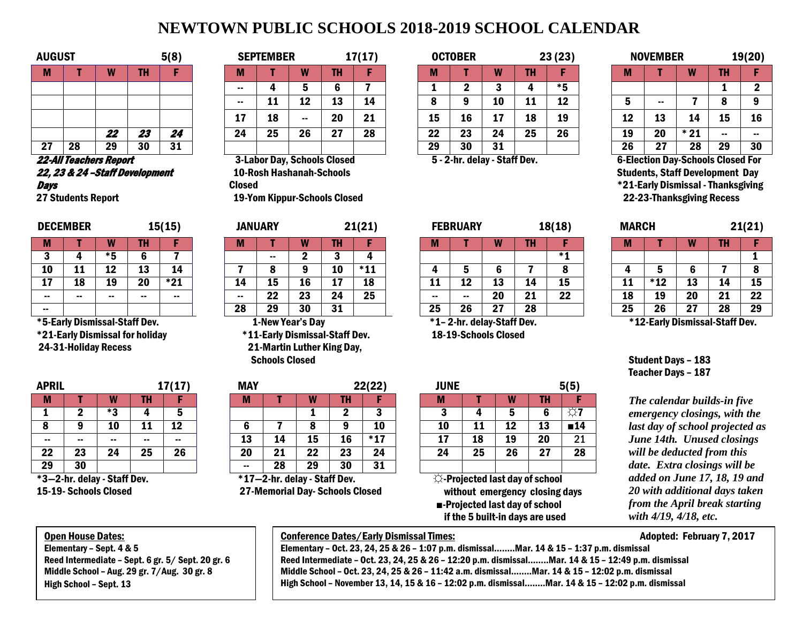# **NEWTOWN PUBLIC SCHOOLS 2018-2019 SCHOOL CALENDAR**

| <b>AUGUST</b> |    |    |           | 5(8) |        | <b>SEPTEMBER</b> |               |           | 17(17) |         | <b>OCTOBER</b> |    |     | 23 (23) |          | <b>NOVEMBER</b> |             |    | 19(20) |
|---------------|----|----|-----------|------|--------|------------------|---------------|-----------|--------|---------|----------------|----|-----|---------|----------|-----------------|-------------|----|--------|
| IVI.          |    |    |           |      | M      |                  |               | т         |        |         |                |    | . . |         | М        |                 |             | TH |        |
|               |    |    |           |      | --     |                  |               |           |        |         |                |    |     | $*5$    |          |                 |             |    |        |
|               |    |    |           |      | $\sim$ | <b>. .</b>       | ≏<br>--       | 13        | 14     |         |                | 10 | . . | 12      |          | --              |             |    | 9      |
|               |    |    |           |      | л.     | 18               | $\sim$ $\sim$ | 20        | 21     | 15      | 16             | 17 | 18  | 19      | 10<br>-- | 13              | 14          | 15 | 16     |
|               |    | 22 | - -<br>40 | 24   | 24     | 25               | 26            | 77<br>z I | 28     | クク<br>" | 23             | 24 | 25  | 26      | 19       | 20              | $+24$<br>41 | -- | $\sim$ |
| דפ<br>"       | 28 | 29 | 30        | 31   |        |                  |               |           |        | 29      | 30             | 31 |     |         | 26       | 27              | 28          | 29 | 30     |

22-All Teachers Report 22, 23 & 24 –Staff Development **Days** 

27 Students Report

|     | <b>DECEMBER</b> |     |        | <b>15(15)</b> |      | <b>JANUARY</b> |    |     | 21(21 |      | <b>FEBRUARY</b> |             |    | 18(18) | <b>MARCH</b> |       |         |            | 21(21) |
|-----|-----------------|-----|--------|---------------|------|----------------|----|-----|-------|------|-----------------|-------------|----|--------|--------------|-------|---------|------------|--------|
|     |                 |     | Ш      |               | 11 L |                |    | .   |       | IVII |                 |             | .  |        | w            |       |         | .          |        |
|     |                 | * 5 |        |               |      | $\sim$         |    |     |       |      |                 |             |    | * 1    |              |       |         |            |        |
| 10  | . .             | 12  | w      | 14            |      |                |    | 10  | $*11$ |      |                 |             |    |        |              |       |         |            |        |
| - 1 | 18              | 19  | 20     | $*21$         | 14   | ∸              | 16 |     | 18    | . .  | 17<br>∸∸        | --          | 14 | 15     | . .          | * 1 2 | 13      | 14         | 15     |
| --  |                 | . . | $\sim$ | $\sim$        | --   | 22             | 23 | 24  | 25    |      | $\sim$          | 20          | 21 | 22     | τo           | 19    | 20      | - 4<br>. . | 22     |
| --  |                 |     |        |               | 28   | 29             | 30 | -31 |       | 25   | 26              | - 27<br>. . | 28 |        | 25           | 26    | 97<br>◢ | 28         | 29     |

\*5-Early Dismissal-Staff Dev.

\*21-Early Dismissal for holiday

24-31-Holiday Recess

| <b>APRIL</b> |                 |     |           | 17(17) |
|--------------|-----------------|-----|-----------|--------|
| М            |                 |     | <b>TH</b> |        |
|              | 2               | * ? |           | 5      |
| 8            | 9               | 10  | 11        | 12     |
| --           | --              | --  |           |        |
| 22           | 23              | 24  | 25        | 26     |
| 29           | $\overline{30}$ |     |           |        |

\*3—2-hr. delay - Staff Dev. 15-19- Schools Closed

|    | <b>UGUST</b><br>5(8)  |    |    |    | <b>SEPTEMBER</b> |    |        | 17(17)                             |    | <b>OCTOBER</b> |                              |    | 23 (23) |      | NOVEMBER |    |                                          | 19(20 |        |
|----|-----------------------|----|----|----|------------------|----|--------|------------------------------------|----|----------------|------------------------------|----|---------|------|----------|----|------------------------------------------|-------|--------|
| M  |                       |    | ΤН |    | M                |    |        | TH                                 |    |                |                              | W  | тц      |      | М        |    | w                                        |       |        |
|    |                       |    |    |    | $\sim$ $\sim$    |    |        |                                    |    |                |                              |    |         | $*5$ |          |    |                                          |       |        |
|    |                       |    |    |    | $\sim$ $\sim$    | 11 | 12     | 13                                 | 14 | o              |                              | 10 | 11      | 12   |          | -- |                                          |       | 9      |
|    |                       |    |    |    | 17               | 18 | $\sim$ | 20                                 | 21 | 15             | 16                           | 17 | 18      | 19   | 19<br>∸∸ | 13 | 14                                       | 15    | 16     |
|    |                       | 22 | 23 | 24 | 24               | 25 | 26     | 27                                 | 28 | 22             | 23                           | 24 | 25      | 26   | 19       | 20 | 21                                       |       | $\sim$ |
| 27 | 28                    | 29 | 30 | 31 |                  |    |        |                                    |    | 29             | 30                           | 31 |         |      | 26       | 27 | 28                                       | 29    | 30     |
|    | 2-All Teachers Report |    |    |    |                  |    |        | <b>3-Labor Day, Schools Closed</b> |    |                | 5 - 2-hr. delay - Staff Dev. |    |         |      |          |    | <b>6-Election Day-Schools Closed For</b> |       |        |

 10-Rosh Hashanah-Schools Closed 19-Yom Kippur-Schools Closed

|                           |    | w                       | -117 |       |  |  |  |  |  |  |  |  |  |
|---------------------------|----|-------------------------|------|-------|--|--|--|--|--|--|--|--|--|
|                           |    | $\mathbf{2}$            | 3    | 4     |  |  |  |  |  |  |  |  |  |
|                           | 8  | 9                       | 10   | $*11$ |  |  |  |  |  |  |  |  |  |
| 15<br>18<br>16<br>4<br>17 |    |                         |      |       |  |  |  |  |  |  |  |  |  |
|                           | 22 | 23                      | 24   | 25    |  |  |  |  |  |  |  |  |  |
| 8                         | 29 | 30                      | 31   |       |  |  |  |  |  |  |  |  |  |
|                           |    | <b>1-New Year's Day</b> |      |       |  |  |  |  |  |  |  |  |  |

 \*11-Early Dismissal-Staff Dev. 21-Martin Luther King Day, Schools Closed

| <b>APRIL</b> | 17(17) |                                           |    | <b>MAY</b> |        |                                                |    | 22(22) | <b>JUNE</b> |    |    |    | 5(5)                              |                |
|--------------|--------|-------------------------------------------|----|------------|--------|------------------------------------------------|----|--------|-------------|----|----|----|-----------------------------------|----------------|
| M            |        | W                                         | TH |            | M      |                                                | w  | TH     |             | M  |    |    | TH                                |                |
|              |        | $*2$<br>a                                 |    |            |        |                                                |    |        | ×.          | ч  |    |    | 6                                 | メー             |
| O            |        | 10                                        | 11 | 12         | b      |                                                |    | о      | 10          | 10 | 11 | 12 | 13                                | 14             |
| $\sim$       | $\sim$ | $\sim$                                    | -- | --         | 13     | 14                                             | 15 | 16     | $*17$       | 17 | 18 | 19 | 20                                | 2 <sub>1</sub> |
| 22           | 23     | 24                                        | 25 | 26         | 20     | 21                                             | 22 | 23     | 24          | 24 | 25 | 26 | 27                                | 28             |
| 29           | 30     |                                           |    |            | $\sim$ | 28                                             | 29 | 30     | 31          |    |    |    |                                   |                |
|              |        | $49.0 \text{ km}$ delay $0.100 \text{ m}$ |    |            |        | $\psi A = 0$ for defined $\theta$ for $\theta$ |    |        |             |    |    |    | W. Bushashad Last days of calcula |                |

\*17—2-hr. delay - Staff Dev. 27-Memorial Day- Schools Closed

|    | <b>SEPTEMBER</b> |        |     | 17(17) |        | <b>OCTOBER</b> |               |    | 23(23) |               | <b>NOVEMBER</b> |       |               | 19(20          |
|----|------------------|--------|-----|--------|--------|----------------|---------------|----|--------|---------------|-----------------|-------|---------------|----------------|
|    |                  | W      | TH  |        | M      |                | W             | TH |        | M             |                 | W     | TH            |                |
| -- |                  | 5      | o   |        |        | ×,             |               |    | *5     |               |                 |       |               |                |
| -- | 11               | 12     | 13  | 14     | О<br>о | 9              | 10            | 11 | 12     | 5             | $\sim$ $\sim$   |       | O             | 9              |
|    | 18               | $\sim$ | 20  | 21     | 15     | 16             | 17            | 18 | 19     | 12            | 13              | 14    | 15            | 16             |
| 24 | 25               | 26     | 27  | 28     | 22     | 23             | 24            | 25 | 26     | 19            | 20              | $*21$ | $\sim$ $\sim$ | $\sim$ $\sim$  |
|    |                  |        |     |        | 29     | 30             | 31            |    |        | 26            | 27              | 28    | 29            | 3 <sub>0</sub> |
| .  | $\sim$           | - -    | . . |        | - - -  | . .            | $\sim$ $\sim$ |    |        | $\sim$ $\sim$ | --<br>-         | - -   | $\sim$        | $\sim$         |

|    | <b>NOVEMBER</b> |       |    | 19(20)       |
|----|-----------------|-------|----|--------------|
| М  |                 | W     | TH | F            |
|    |                 |       | 1  | $\mathbf{2}$ |
| 5  | --              | 7     | 8  | 9            |
| 12 | 13              | 14    | 15 | 16           |
| 19 | 20              | $*21$ |    | --           |
| 26 | 27              | 28    | 29 | 30           |

5 - 2-hr. delay - Staff Dev. 6-Election Day-Schools Closed For Students, Staff Development Day \*21-Early Dismissal -Thanksgiving 22-23-Thanksgiving Recess

|                       | <b>DECEMBER</b> |    |     | 15(15)      | <b>JANUARY</b> |    |                            |     | 21(21)       |      | <b>FEBRUARY</b> |          |    | 18(18)    | <b>MARCH</b> |             |    |    | 21(21)   |
|-----------------------|-----------------|----|-----|-------------|----------------|----|----------------------------|-----|--------------|------|-----------------|----------|----|-----------|--------------|-------------|----|----|----------|
| M                     |                 |    | . . |             | IVI            |    |                            | TH  |              | IVI. |                 |          |    |           |              |             |    | TH |          |
|                       |                 |    |     |             |                | -- |                            |     |              |      |                 |          |    |           |              |             |    |    |          |
| <b>10</b>             | . .             | ∸∸ | 13  | 14          |                |    |                            | 10  | $*11$<br>. . |      |                 |          |    |           |              |             |    |    |          |
| $\overline{a}$<br>-11 | 1 O<br>TO       | -- | 20  | $*21$<br>41 | 14             | ∸  | $\ddot{\phantom{0}}$<br>τq | . . | 18           | ᆠ    | 40<br>∸∸        | 49<br>-- | 14 | 4 E<br>IJ | . .          | * 4 9<br>-- | 13 | 14 | 16<br>-- |

\*12-Early Dismissal-Staff Dev.

Student Days – 183 Teacher Days – 187

**The calendar builds-in five** *emergency closings, with the last day of school projected as June 14th. Unused closings will be deducted from this date. Extra closings will be added on June 17, 18, 19 and 20 with additional days taken from the April break starting with 4/19, 4/18, etc.*

## Open House Dates: Elementary – Sept. 4 & 5

Reed Intermediate – Sept. 6 gr. 5/ Sept. 20 gr. 6 Middle School – Aug. 29 gr. 7/Aug. 30 gr. 8 High School – Sept. 13

#### .<br>. Conference Dates/Early Dismissal Times: Adopted: February 7, 2017

 Reed Intermediate – Oct. 23, 24, 25 & 26 – 12:20 p.m. dismissal……..Mar. 14 & 15 – 12:49 p.m. dismissal Elementary – Oct. 23, 24, 25 & 26 – 1:07 p.m. dismissal……..Mar. 14 & 15 – 1:37 p.m. dismissal Middle School – Oct. 23, 24, 25 & 26 – 11:42 a.m. dismissal……..Mar. 14 & 15 – 12:02 p.m. dismissal High School – November 13, 14, 15 & 16 – 12:02 p.m. dismissal……..Mar. 14 & 15 – 12:02 p.m. dismissal  $\overline{a}$ 

|     |           | <b>TH</b>     |     | w      |          | w  | <b>TH</b> |       | . . |        | W         | e e s<br>. |      | M   |       | w        |            |    |
|-----|-----------|---------------|-----|--------|----------|----|-----------|-------|-----|--------|-----------|------------|------|-----|-------|----------|------------|----|
|     | * E       |               |     |        | . .      |    |           |       |     |        |           |            | $*1$ |     |       |          |            |    |
| . . | . .<br>-4 | 13            | 14  |        |          |    | 10        | $*11$ |     |        |           |            |      |     |       |          |            |    |
| 18  | 19        | 20            | *21 | 14     | 15       | 16 | 17        | 18    | 11  | 12     | 13        | 14         | 15   | . . | $*12$ | 12<br>IJ | ıд<br>. .  | 15 |
| --  | --        | <b>B</b> 2010 | .   | $\sim$ | クク<br>22 | 23 | 24        | 25    | $-$ | $\sim$ | 20        | 21         | 22   | 18  | 19    | 20       | - 4<br>. . | 22 |
|     |           |               |     | 28     | 29       | 30 | 31        |       | 25  | 26     | 27<br>. . | 28         |      | 25  | 26    | 67<br>"  | 28         | 29 |
|     |           |               |     |        |          |    |           |       |     |        |           |            |      |     |       |          |            |    |

 \*1– 2-hr. delay-Staff Dev. 18-19-Schools Closed

| APRIL<br>17(17)           |    |    |               |        | <b>MAY</b> |    |                            |    | 22(22) |       |  |                                                       |    | 5(5) |    |                     |  |
|---------------------------|----|----|---------------|--------|------------|----|----------------------------|----|--------|-------|--|-------------------------------------------------------|----|------|----|---------------------|--|
| M                         |    | W  | TH            |        |            | M  |                            | W  | TH     |       |  | M                                                     |    | W    | TH |                     |  |
|                           |    | *3 |               |        |            |    |                            |    |        |       |  |                                                       |    | 5    | 6  | $\Leftrightarrow$ 7 |  |
| 8                         |    | 10 | 11            | 12     |            |    |                            |    |        | 10    |  | 10                                                    | 11 | 12   | 13 | $\blacksquare$ 14   |  |
| --                        | -- |    | $\sim$ $\sim$ | $\sim$ |            | 13 | 14                         | 15 | 16     | $*17$ |  | 17                                                    | 18 | 19   | 20 | 21                  |  |
| 22                        | 23 | 24 | 25            | 26     |            | 20 | 21                         | 22 | 23     | 24    |  | 24                                                    | 25 | 26   | 27 | 28                  |  |
| 29                        | 30 |    |               |        |            | -- | 28                         | 29 | 30     | 31    |  |                                                       |    |      |    |                     |  |
| $*2.2$ hr dolay Staff Dov |    |    |               |        |            |    | $*17$ 2 hr dolov Ctaff Dov |    |        |       |  | $\mathbb{M}_\mathbb{L}$ Draigated last day of school. |    |      |    |                     |  |

 ☼-Projected last day of school without emergency closing days ■-Projected last day of school if the 5 built-in days are used

j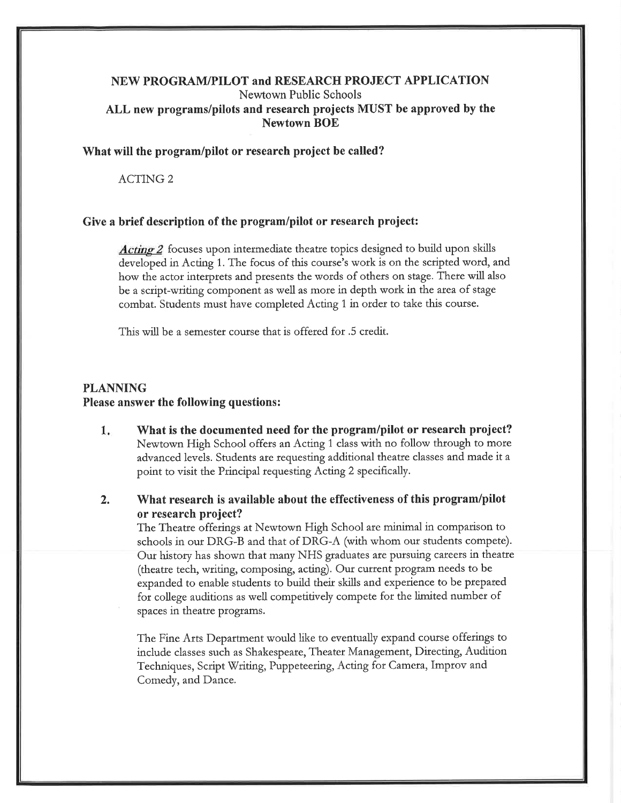#### NEW PROGRAM/PILOT and RESEARCH PROJECT APPLICATION Newtown Public Schools ALL new programs/pilots and research projects MUST be approved by the **Newtown BOE**

#### What will the program/pilot or research project be called?

**ACTING 2** 

#### Give a brief description of the program/pilot or research project:

*Acting 2* focuses upon intermediate theatre topics designed to build upon skills developed in Acting 1. The focus of this course's work is on the scripted word, and how the actor interprets and presents the words of others on stage. There will also be a script-writing component as well as more in depth work in the area of stage combat. Students must have completed Acting 1 in order to take this course.

This will be a semester course that is offered for .5 credit.

#### **PLANNING** Please answer the following questions:

- $1.$ What is the documented need for the program/pilot or research project? Newtown High School offers an Acting 1 class with no follow through to more advanced levels. Students are requesting additional theatre classes and made it a point to visit the Principal requesting Acting 2 specifically.
- What research is available about the effectiveness of this program/pilot  $2.$ or research project?

The Theatre offerings at Newtown High School are minimal in comparison to schools in our DRG-B and that of DRG-A (with whom our students compete). Our history has shown that many NHS graduates are pursuing careers in theatre (theatre tech, writing, composing, acting). Our current program needs to be expanded to enable students to build their skills and experience to be prepared for college auditions as well competitively compete for the limited number of spaces in theatre programs.

The Fine Arts Department would like to eventually expand course offerings to include classes such as Shakespeare, Theater Management, Directing, Audition Techniques, Script Writing, Puppeteering, Acting for Camera, Improv and Comedy, and Dance.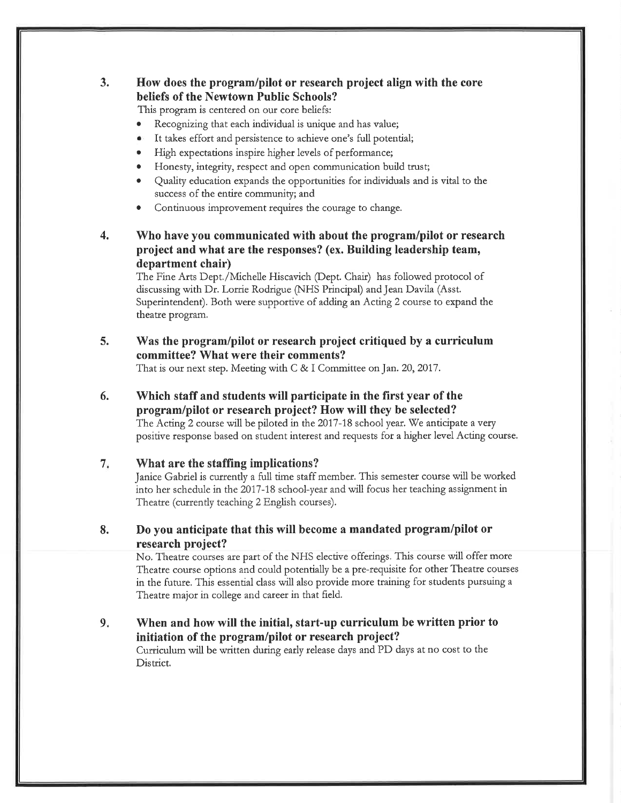#### $3.$ How does the program/pilot or research project align with the core beliefs of the Newtown Public Schools?

This program is centered on our core beliefs:

- Recognizing that each individual is unique and has value;
- It takes effort and persistence to achieve one's full potential;
- High expectations inspire higher levels of performance;
- Honesty, integrity, respect and open communication build trust;
- Quality education expands the opportunities for individuals and is vital to the success of the entire community; and
- Continuous improvement requires the courage to change.
- $\overline{4}$ . Who have you communicated with about the program/pilot or research project and what are the responses? (ex. Building leadership team, department chair)

The Fine Arts Dept./Michelle Hiscavich (Dept. Chair) has followed protocol of discussing with Dr. Lorrie Rodrigue (NHS Principal) and Jean Davila (Asst. Superintendent). Both were supportive of adding an Acting 2 course to expand the theatre program.

5. Was the program/pilot or research project critiqued by a curriculum committee? What were their comments?

That is our next step. Meeting with C & I Committee on Jan. 20, 2017.

6. Which staff and students will participate in the first year of the program/pilot or research project? How will they be selected? The Acting 2 course will be piloted in the 2017-18 school year. We anticipate a very positive response based on student interest and requests for a higher level Acting course.

#### $7.$ What are the staffing implications?

Janice Gabriel is currently a full time staff member. This semester course will be worked into her schedule in the 2017-18 school-year and will focus her teaching assignment in Theatre (currently teaching 2 English courses).

8. Do you anticipate that this will become a mandated program/pilot or research project?

No. Theatre courses are part of the NHS elective offerings. This course will offer more Theatre course options and could potentially be a pre-requisite for other Theatre courses in the future. This essential class will also provide more training for students pursuing a Theatre major in college and career in that field.

 $9.$ When and how will the initial, start-up curriculum be written prior to initiation of the program/pilot or research project? Curriculum will be written during early release days and PD days at no cost to the District.